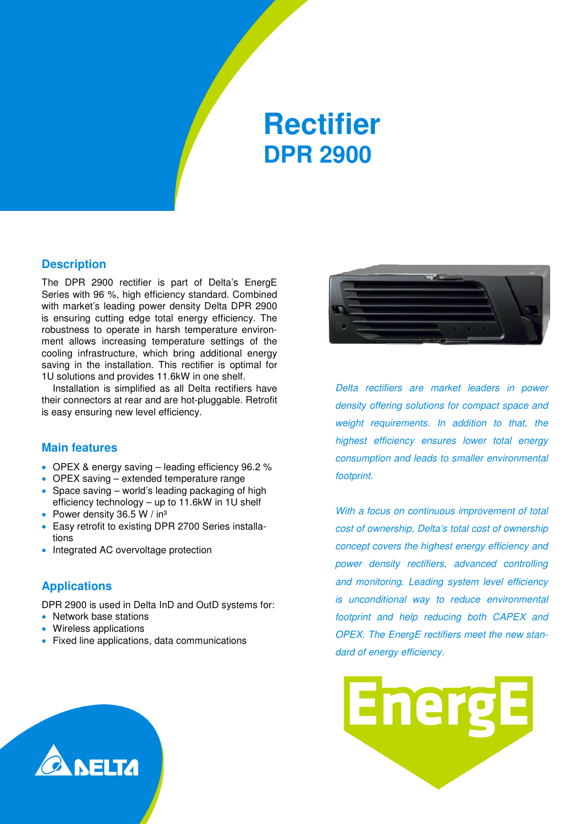## **Rectifier DPR 2900**

#### **Description**

The DPR 2900 rectifier is part of Delta's EnergE Series with 96 %, high efficiency standard. Combined with market's leading power density Delta DPR 2900 is ensuring cutting edge total energy efficiency. The robustness to operate in harsh temperature environment allows increasing temperature settings of the cooling infrastructure, which bring additional energy saving in the installation. This rectifier is optimal for 1U solutions and provides 11.6kW in one shelf.

Installation is simplified as all Delta rectifiers have their connectors at rear and are hot-pluggable. Retrofit is easy ensuring new level efficiency.

#### **Main features**

- OPEX & energy saving leading efficiency 96.2 %
- OPEX saving extended temperature range
- Space saving world's leading packaging of high efficiency technology – up to 11.6kW in 1U shelf
- Power density 36.5 W / in<sup>3</sup>
- Easy retrofit to existing DPR 2700 Series installations
- Integrated AC overvoltage protection

#### **Applications**

DPR 2900 is used in Delta InD and OutD systems for:

- Network base stations
- Wireless applications
- Fixed line applications, data communications



Delta rectifiers are market leaders in power density offering solutions for compact space and weight requirements. In addition to that, the highest efficiency ensures lower total energy consumption and leads to smaller environmental footprint.

With a focus on continuous improvement of total cost of ownership, Delta's total cost of ownership concept covers the highest energy efficiency and power density rectifiers, advanced controlling and monitoring. Leading system level efficiency is unconditional way to reduce environmental footprint and help reducing both CAPEX and OPEX. The EnergE rectifiers meet the new standard of energy efficiency.